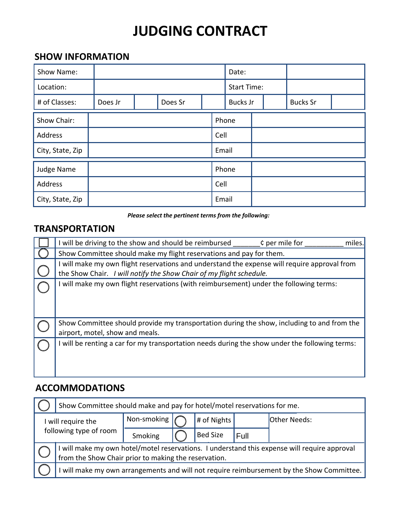# **JUDGING CONTRACT**

# **SHOW INFORMATION**

| Show Name:       |         |  |         | Date: |                    |                 |  |                 |  |  |
|------------------|---------|--|---------|-------|--------------------|-----------------|--|-----------------|--|--|
| Location:        |         |  |         |       | <b>Start Time:</b> |                 |  |                 |  |  |
| # of Classes:    | Does Jr |  | Does Sr |       |                    | <b>Bucks Jr</b> |  | <b>Bucks Sr</b> |  |  |
| Show Chair:      |         |  |         |       | Phone              |                 |  |                 |  |  |
| Address          |         |  |         | Cell  |                    |                 |  |                 |  |  |
| City, State, Zip |         |  |         | Email |                    |                 |  |                 |  |  |
| Judge Name       |         |  |         |       |                    | Phone           |  |                 |  |  |
| Address          |         |  |         |       | Cell               |                 |  |                 |  |  |
| City, State, Zip |         |  |         |       | Email              |                 |  |                 |  |  |

*Please select the pertinent terms from the following:*

## **TRANSPORTATION**

| I will be driving to the show and should be reimbursed<br>¢ per mile for<br>miles.                                                                                  |  |  |  |  |  |  |
|---------------------------------------------------------------------------------------------------------------------------------------------------------------------|--|--|--|--|--|--|
| Show Committee should make my flight reservations and pay for them.                                                                                                 |  |  |  |  |  |  |
| I will make my own flight reservations and understand the expense will require approval from<br>the Show Chair. I will notify the Show Chair of my flight schedule. |  |  |  |  |  |  |
| I will make my own flight reservations (with reimbursement) under the following terms:                                                                              |  |  |  |  |  |  |
| Show Committee should provide my transportation during the show, including to and from the<br>airport, motel, show and meals.                                       |  |  |  |  |  |  |
| I will be renting a car for my transportation needs during the show under the following terms:                                                                      |  |  |  |  |  |  |

# **ACCOMMODATIONS**

|                                              | Show Committee should make and pay for hotel/motel reservations for me.                                                                            |             |             |                 |      |                     |  |  |  |
|----------------------------------------------|----------------------------------------------------------------------------------------------------------------------------------------------------|-------------|-------------|-----------------|------|---------------------|--|--|--|
| I will require the<br>following type of room |                                                                                                                                                    | Non-smoking | # of Nights |                 |      | <b>Other Needs:</b> |  |  |  |
|                                              |                                                                                                                                                    | Smoking     |             | <b>Bed Size</b> | Full |                     |  |  |  |
|                                              | will make my own hotel/motel reservations. I understand this expense will require approval<br>from the Show Chair prior to making the reservation. |             |             |                 |      |                     |  |  |  |
|                                              | will make my own arrangements and will not require reimbursement by the Show Committee.                                                            |             |             |                 |      |                     |  |  |  |